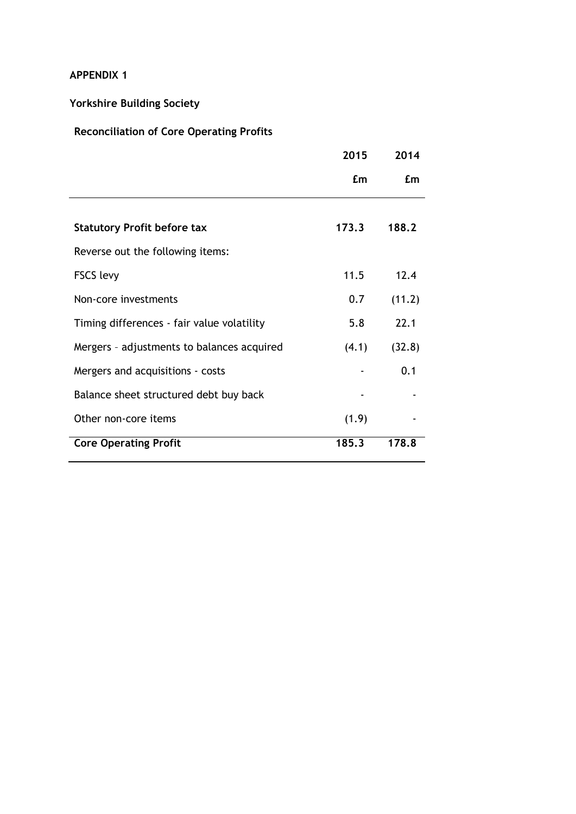#### **APPENDIX 1**

## **Yorkshire Building Society**

### **Reconciliation of Core Operating Profits**

|                                            | 2015  | 2014   |
|--------------------------------------------|-------|--------|
|                                            | Em    | £m     |
|                                            |       |        |
| <b>Statutory Profit before tax</b>         | 173.3 | 188.2  |
| Reverse out the following items:           |       |        |
| <b>FSCS levy</b>                           | 11.5  | 12.4   |
| Non-core investments                       | 0.7   | (11.2) |
| Timing differences - fair value volatility | 5.8   | 22.1   |
| Mergers - adjustments to balances acquired | (4.1) | (32.8) |
| Mergers and acquisitions - costs           |       | 0.1    |
| Balance sheet structured debt buy back     |       |        |
| Other non-core items                       | (1.9) |        |
| <b>Core Operating Profit</b>               | 185.3 | 178.8  |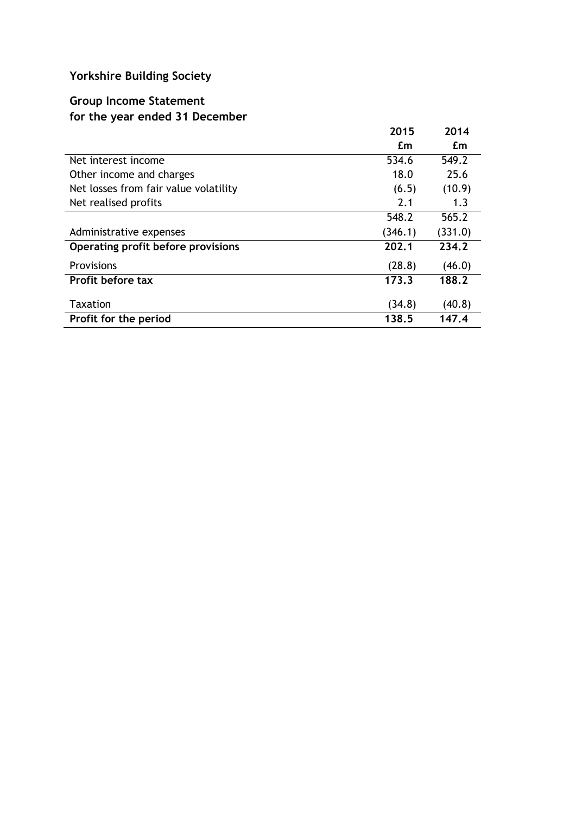# **Yorkshire Building Society**

### **Group Income Statement for the year ended 31 December**

|                                       | 2015    | 2014    |
|---------------------------------------|---------|---------|
|                                       | £m      | £m      |
| Net interest income                   | 534.6   | 549.2   |
| Other income and charges              | 18.0    | 25.6    |
| Net losses from fair value volatility | (6.5)   | (10.9)  |
| Net realised profits                  | 2.1     | 1.3     |
|                                       | 548.2   | 565.2   |
| Administrative expenses               | (346.1) | (331.0) |
| Operating profit before provisions    | 202.1   | 234.2   |
| <b>Provisions</b>                     | (28.8)  | (46.0)  |
| Profit before tax                     | 173.3   | 188.2   |
| <b>Taxation</b>                       | (34.8)  | (40.8)  |
| Profit for the period                 | 138.5   | 147.4   |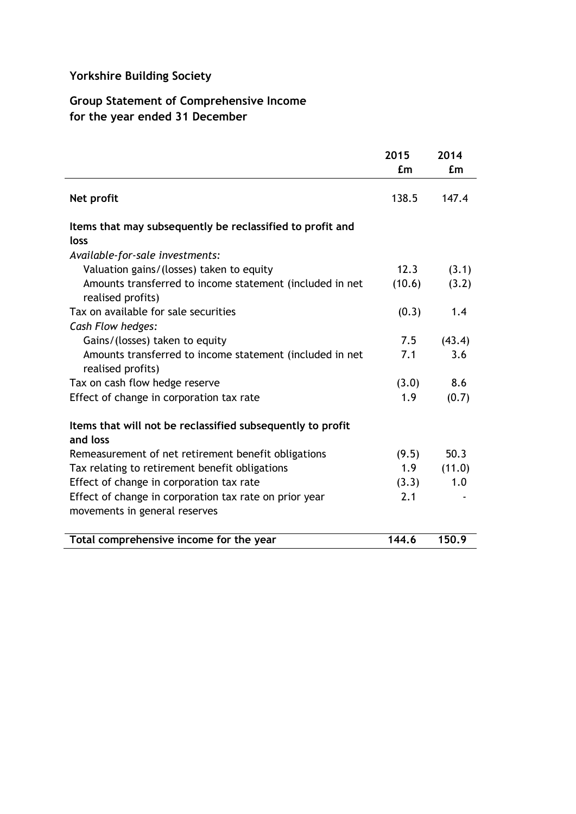## **Yorkshire Building Society**

### **Group Statement of Comprehensive Income for the year ended 31 December**

|                                                                               | 2015<br>£m | 2014<br>£m |
|-------------------------------------------------------------------------------|------------|------------|
| Net profit                                                                    | 138.5      | 147.4      |
| Items that may subsequently be reclassified to profit and                     |            |            |
| loss                                                                          |            |            |
| Available-for-sale investments:                                               |            |            |
| Valuation gains/(losses) taken to equity                                      | 12.3       | (3.1)      |
| Amounts transferred to income statement (included in net<br>realised profits) | (10.6)     | (3.2)      |
| Tax on available for sale securities                                          | (0.3)      | 1.4        |
| Cash Flow hedges:                                                             |            |            |
| Gains/(losses) taken to equity                                                | 7.5        | (43.4)     |
| Amounts transferred to income statement (included in net<br>realised profits) | 7.1        | 3.6        |
| Tax on cash flow hedge reserve                                                | (3.0)      | 8.6        |
| Effect of change in corporation tax rate                                      | 1.9        | (0.7)      |
| Items that will not be reclassified subsequently to profit<br>and loss        |            |            |
| Remeasurement of net retirement benefit obligations                           | (9.5)      | 50.3       |
| Tax relating to retirement benefit obligations                                | 1.9        | (11.0)     |
| Effect of change in corporation tax rate                                      | (3.3)      | 1.0        |
| Effect of change in corporation tax rate on prior year                        | 2.1        |            |
| movements in general reserves                                                 |            |            |
| Total comprehensive income for the year                                       | 144.6      | 150.9      |